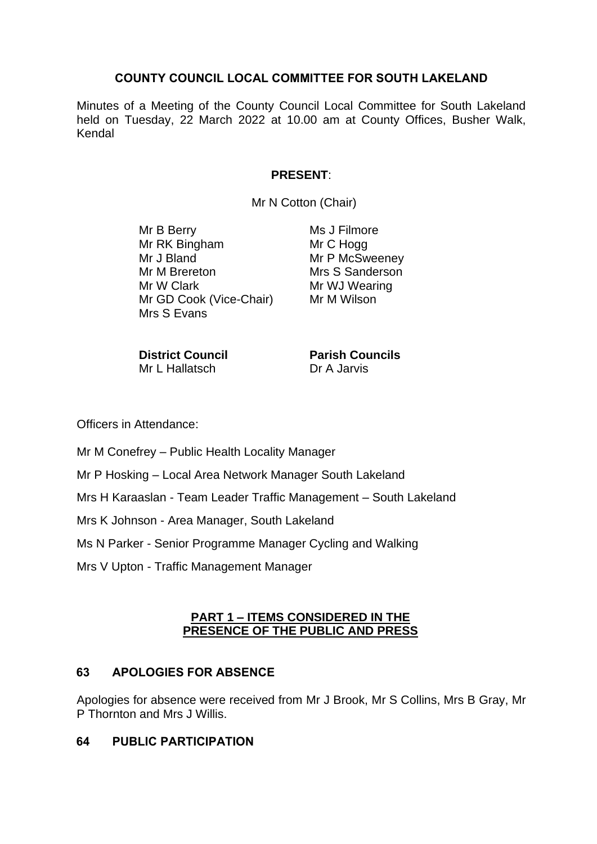# **COUNTY COUNCIL LOCAL COMMITTEE FOR SOUTH LAKELAND**

Minutes of a Meeting of the County Council Local Committee for South Lakeland held on Tuesday, 22 March 2022 at 10.00 am at County Offices, Busher Walk, Kendal

# **PRESENT**:

Mr N Cotton (Chair)

Mr B Berry Mr RK Bingham Mr J Bland Mr M Brereton Mr W Clark Mr GD Cook (Vice-Chair) Mrs S Evans

Ms J Filmore Mr C Hogg Mr P McSweeney Mrs S Sanderson Mr WJ Wearing Mr M Wilson

**District Council** Mr L Hallatsch

**Parish Councils** Dr A Jarvis

Officers in Attendance:

Mr M Conefrey – Public Health Locality Manager

Mr P Hosking – Local Area Network Manager South Lakeland

Mrs H Karaaslan - Team Leader Traffic Management – South Lakeland

Mrs K Johnson - Area Manager, South Lakeland

Ms N Parker - Senior Programme Manager Cycling and Walking

Mrs V Upton - Traffic Management Manager

#### **PART 1 – ITEMS CONSIDERED IN THE PRESENCE OF THE PUBLIC AND PRESS**

# **63 APOLOGIES FOR ABSENCE**

Apologies for absence were received from Mr J Brook, Mr S Collins, Mrs B Gray, Mr P Thornton and Mrs J Willis.

# **64 PUBLIC PARTICIPATION**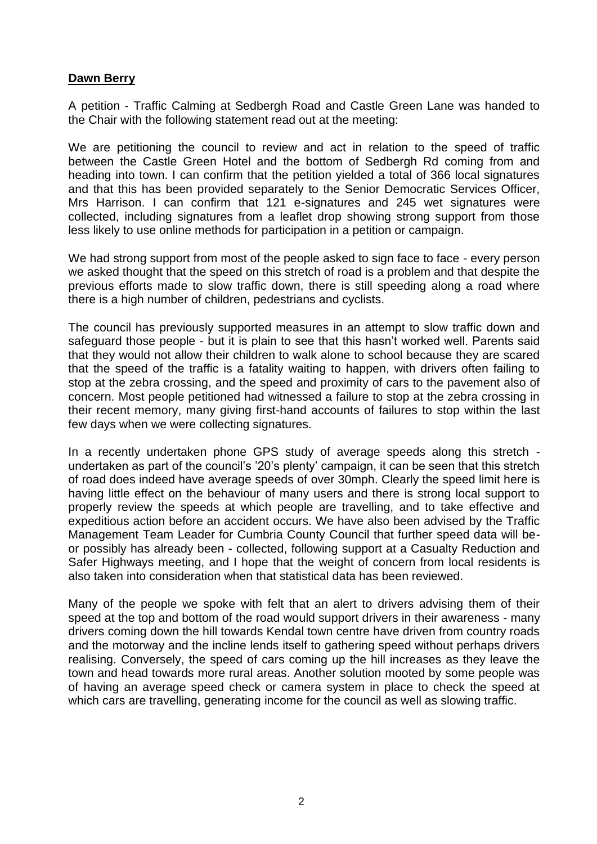# **Dawn Berry**

A petition - Traffic Calming at Sedbergh Road and Castle Green Lane was handed to the Chair with the following statement read out at the meeting:

We are petitioning the council to review and act in relation to the speed of traffic between the Castle Green Hotel and the bottom of Sedbergh Rd coming from and heading into town. I can confirm that the petition yielded a total of 366 local signatures and that this has been provided separately to the Senior Democratic Services Officer, Mrs Harrison. I can confirm that 121 e-signatures and 245 wet signatures were collected, including signatures from a leaflet drop showing strong support from those less likely to use online methods for participation in a petition or campaign.

We had strong support from most of the people asked to sign face to face - every person we asked thought that the speed on this stretch of road is a problem and that despite the previous efforts made to slow traffic down, there is still speeding along a road where there is a high number of children, pedestrians and cyclists.

The council has previously supported measures in an attempt to slow traffic down and safeguard those people - but it is plain to see that this hasn't worked well. Parents said that they would not allow their children to walk alone to school because they are scared that the speed of the traffic is a fatality waiting to happen, with drivers often failing to stop at the zebra crossing, and the speed and proximity of cars to the pavement also of concern. Most people petitioned had witnessed a failure to stop at the zebra crossing in their recent memory, many giving first-hand accounts of failures to stop within the last few days when we were collecting signatures.

In a recently undertaken phone GPS study of average speeds along this stretch undertaken as part of the council's '20's plenty' campaign, it can be seen that this stretch of road does indeed have average speeds of over 30mph. Clearly the speed limit here is having little effect on the behaviour of many users and there is strong local support to properly review the speeds at which people are travelling, and to take effective and expeditious action before an accident occurs. We have also been advised by the Traffic Management Team Leader for Cumbria County Council that further speed data will beor possibly has already been - collected, following support at a Casualty Reduction and Safer Highways meeting, and I hope that the weight of concern from local residents is also taken into consideration when that statistical data has been reviewed.

Many of the people we spoke with felt that an alert to drivers advising them of their speed at the top and bottom of the road would support drivers in their awareness - many drivers coming down the hill towards Kendal town centre have driven from country roads and the motorway and the incline lends itself to gathering speed without perhaps drivers realising. Conversely, the speed of cars coming up the hill increases as they leave the town and head towards more rural areas. Another solution mooted by some people was of having an average speed check or camera system in place to check the speed at which cars are travelling, generating income for the council as well as slowing traffic.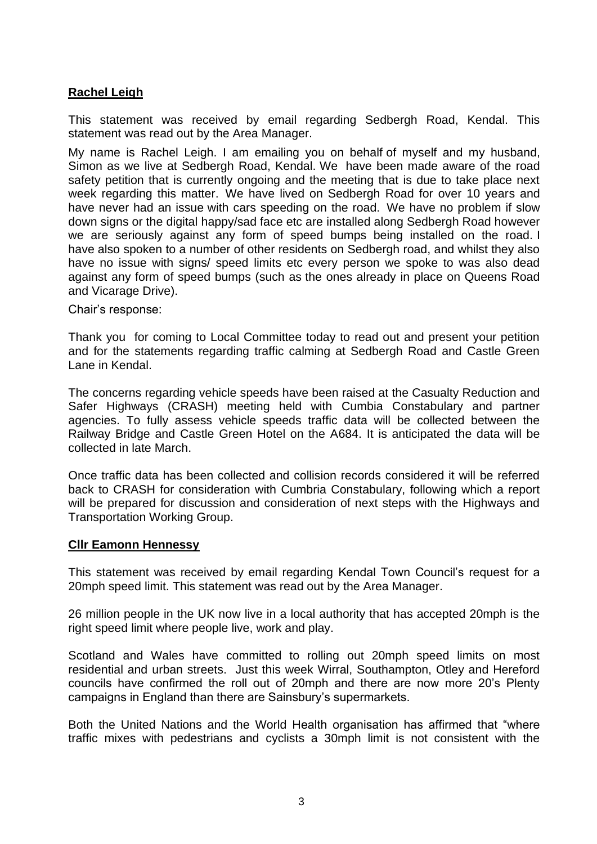# **Rachel Leigh**

This statement was received by email regarding Sedbergh Road, Kendal. This statement was read out by the Area Manager.

My name is Rachel Leigh. I am emailing you on behalf of myself and my husband, Simon as we live at Sedbergh Road, Kendal. We have been made aware of the road safety petition that is currently ongoing and the meeting that is due to take place next week regarding this matter. We have lived on Sedbergh Road for over 10 years and have never had an issue with cars speeding on the road. We have no problem if slow down signs or the digital happy/sad face etc are installed along Sedbergh Road however we are seriously against any form of speed bumps being installed on the road. I have also spoken to a number of other residents on Sedbergh road, and whilst they also have no issue with signs/ speed limits etc every person we spoke to was also dead against any form of speed bumps (such as the ones already in place on Queens Road and Vicarage Drive).

Chair's response:

Thank you for coming to Local Committee today to read out and present your petition and for the statements regarding traffic calming at Sedbergh Road and Castle Green Lane in Kendal.

The concerns regarding vehicle speeds have been raised at the Casualty Reduction and Safer Highways (CRASH) meeting held with Cumbia Constabulary and partner agencies. To fully assess vehicle speeds traffic data will be collected between the Railway Bridge and Castle Green Hotel on the A684. It is anticipated the data will be collected in late March.

Once traffic data has been collected and collision records considered it will be referred back to CRASH for consideration with Cumbria Constabulary, following which a report will be prepared for discussion and consideration of next steps with the Highways and Transportation Working Group.

#### **Cllr Eamonn Hennessy**

This statement was received by email regarding Kendal Town Council's request for a 20mph speed limit. This statement was read out by the Area Manager.

26 million people in the UK now live in a local authority that has accepted 20mph is the right speed limit where people live, work and play.

Scotland and Wales have committed to rolling out 20mph speed limits on most residential and urban streets. Just this week Wirral, Southampton, Otley and Hereford councils have confirmed the roll out of 20mph and there are now more 20's Plenty campaigns in England than there are Sainsbury's supermarkets.

Both the United Nations and the World Health organisation has affirmed that "where traffic mixes with pedestrians and cyclists a 30mph limit is not consistent with the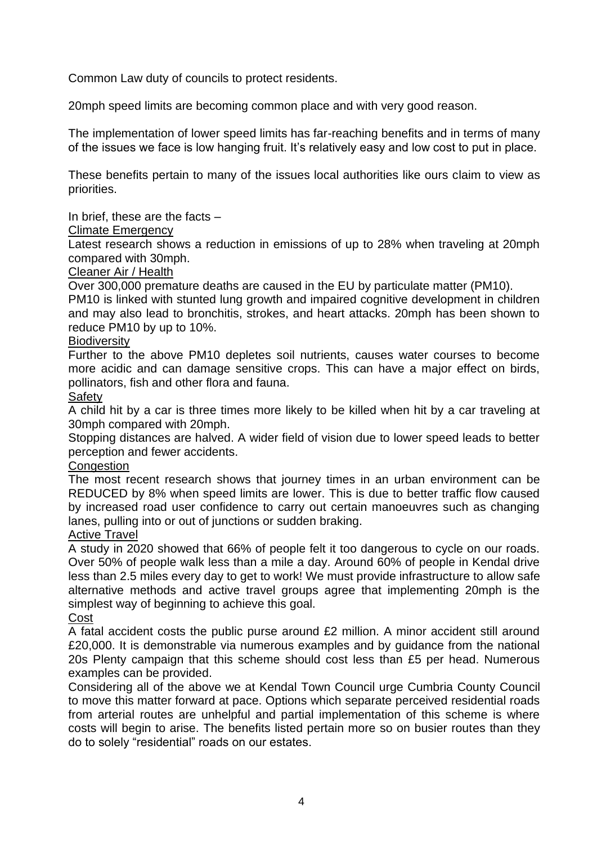Common Law duty of councils to protect residents.

20mph speed limits are becoming common place and with very good reason.

The implementation of lower speed limits has far-reaching benefits and in terms of many of the issues we face is low hanging fruit. It's relatively easy and low cost to put in place.

These benefits pertain to many of the issues local authorities like ours claim to view as priorities.

In brief, these are the facts –

#### Climate Emergency

Latest research shows a reduction in emissions of up to 28% when traveling at 20mph compared with 30mph.

#### Cleaner Air / Health

Over 300,000 premature deaths are caused in the EU by particulate matter (PM10).

PM10 is linked with stunted lung growth and impaired cognitive development in children and may also lead to bronchitis, strokes, and heart attacks. 20mph has been shown to reduce PM10 by up to 10%.

#### **Biodiversity**

Further to the above PM10 depletes soil nutrients, causes water courses to become more acidic and can damage sensitive crops. This can have a major effect on birds, pollinators, fish and other flora and fauna.

# **Safety**

A child hit by a car is three times more likely to be killed when hit by a car traveling at 30mph compared with 20mph.

Stopping distances are halved. A wider field of vision due to lower speed leads to better perception and fewer accidents.

# **Congestion**

The most recent research shows that journey times in an urban environment can be REDUCED by 8% when speed limits are lower. This is due to better traffic flow caused by increased road user confidence to carry out certain manoeuvres such as changing lanes, pulling into or out of junctions or sudden braking.

# Active Travel

A study in 2020 showed that 66% of people felt it too dangerous to cycle on our roads. Over 50% of people walk less than a mile a day. Around 60% of people in Kendal drive less than 2.5 miles every day to get to work! We must provide infrastructure to allow safe alternative methods and active travel groups agree that implementing 20mph is the simplest way of beginning to achieve this goal.

#### Cost

A fatal accident costs the public purse around £2 million. A minor accident still around £20,000. It is demonstrable via numerous examples and by guidance from the national 20s Plenty campaign that this scheme should cost less than £5 per head. Numerous examples can be provided.

Considering all of the above we at Kendal Town Council urge Cumbria County Council to move this matter forward at pace. Options which separate perceived residential roads from arterial routes are unhelpful and partial implementation of this scheme is where costs will begin to arise. The benefits listed pertain more so on busier routes than they do to solely "residential" roads on our estates.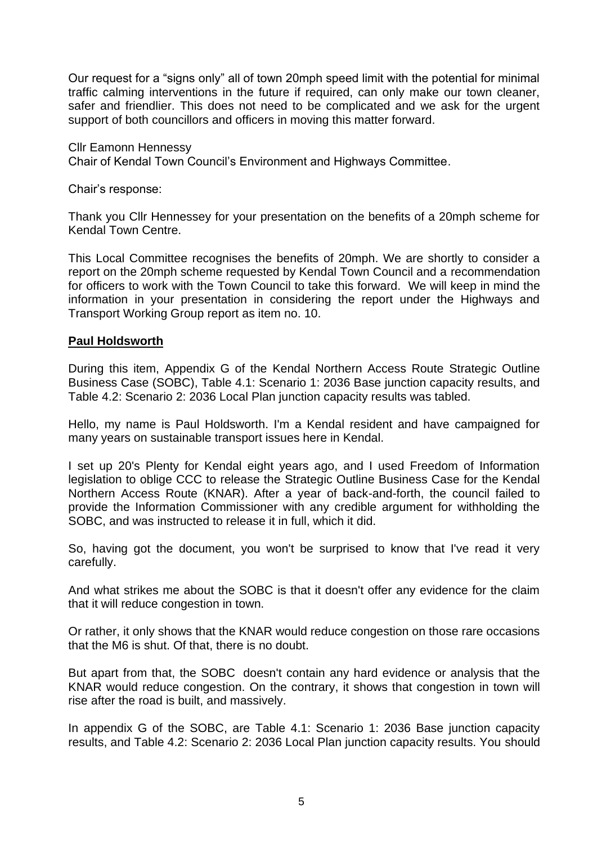Our request for a "signs only" all of town 20mph speed limit with the potential for minimal traffic calming interventions in the future if required, can only make our town cleaner, safer and friendlier. This does not need to be complicated and we ask for the urgent support of both councillors and officers in moving this matter forward.

Cllr Eamonn Hennessy Chair of Kendal Town Council's Environment and Highways Committee.

Chair's response:

Thank you Cllr Hennessey for your presentation on the benefits of a 20mph scheme for Kendal Town Centre.

This Local Committee recognises the benefits of 20mph. We are shortly to consider a report on the 20mph scheme requested by Kendal Town Council and a recommendation for officers to work with the Town Council to take this forward. We will keep in mind the information in your presentation in considering the report under the Highways and Transport Working Group report as item no. 10.

#### **Paul Holdsworth**

During this item, Appendix G of the Kendal Northern Access Route Strategic Outline Business Case (SOBC), Table 4.1: Scenario 1: 2036 Base junction capacity results, and Table 4.2: Scenario 2: 2036 Local Plan junction capacity results was tabled.

Hello, my name is Paul Holdsworth. I'm a Kendal resident and have campaigned for many years on sustainable transport issues here in Kendal.

I set up 20's Plenty for Kendal eight years ago, and I used Freedom of Information legislation to oblige CCC to release the Strategic Outline Business Case for the Kendal Northern Access Route (KNAR). After a year of back-and-forth, the council failed to provide the Information Commissioner with any credible argument for withholding the SOBC, and was instructed to release it in full, which it did.

So, having got the document, you won't be surprised to know that I've read it very carefully.

And what strikes me about the SOBC is that it doesn't offer any evidence for the claim that it will reduce congestion in town.

Or rather, it only shows that the KNAR would reduce congestion on those rare occasions that the M6 is shut. Of that, there is no doubt.

But apart from that, the SOBC doesn't contain any hard evidence or analysis that the KNAR would reduce congestion. On the contrary, it shows that congestion in town will rise after the road is built, and massively.

In appendix G of the SOBC, are Table 4.1: Scenario 1: 2036 Base junction capacity results, and Table 4.2: Scenario 2: 2036 Local Plan junction capacity results. You should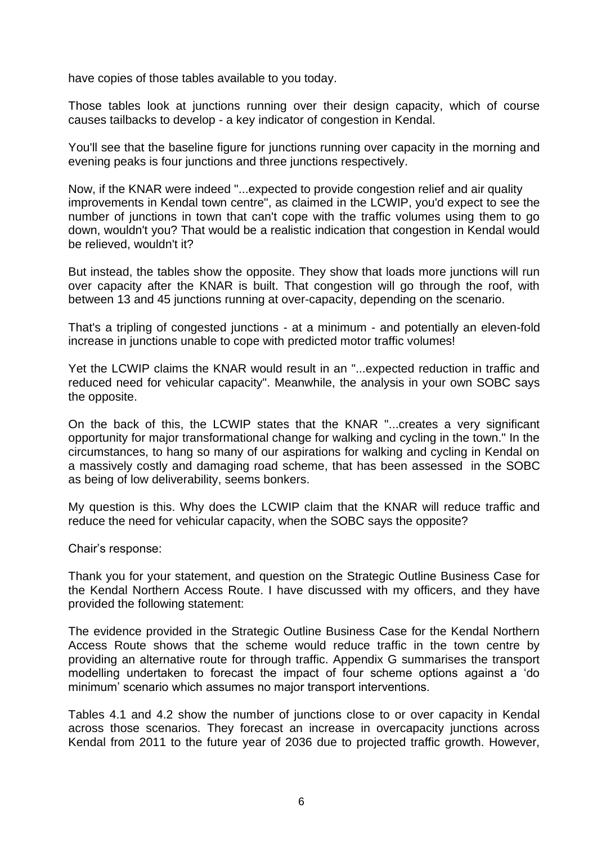have copies of those tables available to you today.

Those tables look at junctions running over their design capacity, which of course causes tailbacks to develop - a key indicator of congestion in Kendal.

You'll see that the baseline figure for junctions running over capacity in the morning and evening peaks is four junctions and three junctions respectively.

Now, if the KNAR were indeed "...expected to provide congestion relief and air quality improvements in Kendal town centre", as claimed in the LCWIP, you'd expect to see the number of junctions in town that can't cope with the traffic volumes using them to go down, wouldn't you? That would be a realistic indication that congestion in Kendal would be relieved, wouldn't it?

But instead, the tables show the opposite. They show that loads more junctions will run over capacity after the KNAR is built. That congestion will go through the roof, with between 13 and 45 junctions running at over-capacity, depending on the scenario.

That's a tripling of congested junctions - at a minimum - and potentially an eleven-fold increase in junctions unable to cope with predicted motor traffic volumes!

Yet the LCWIP claims the KNAR would result in an "...expected reduction in traffic and reduced need for vehicular capacity". Meanwhile, the analysis in your own SOBC says the opposite.

On the back of this, the LCWIP states that the KNAR "...creates a very significant opportunity for major transformational change for walking and cycling in the town." In the circumstances, to hang so many of our aspirations for walking and cycling in Kendal on a massively costly and damaging road scheme, that has been assessed in the SOBC as being of low deliverability, seems bonkers.

My question is this. Why does the LCWIP claim that the KNAR will reduce traffic and reduce the need for vehicular capacity, when the SOBC says the opposite?

Chair's response:

Thank you for your statement, and question on the Strategic Outline Business Case for the Kendal Northern Access Route. I have discussed with my officers, and they have provided the following statement:

The evidence provided in the Strategic Outline Business Case for the Kendal Northern Access Route shows that the scheme would reduce traffic in the town centre by providing an alternative route for through traffic. Appendix G summarises the transport modelling undertaken to forecast the impact of four scheme options against a 'do minimum' scenario which assumes no major transport interventions.

Tables 4.1 and 4.2 show the number of junctions close to or over capacity in Kendal across those scenarios. They forecast an increase in overcapacity junctions across Kendal from 2011 to the future year of 2036 due to projected traffic growth. However,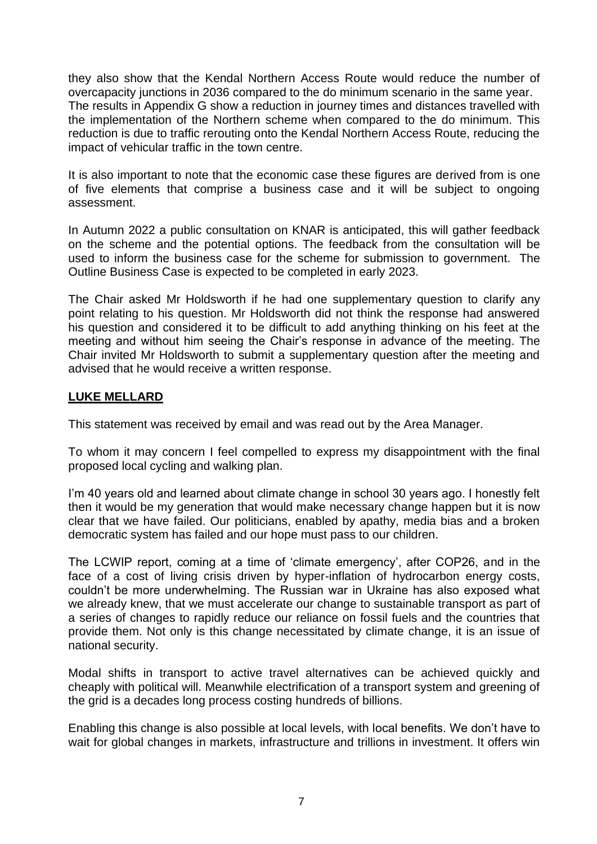they also show that the Kendal Northern Access Route would reduce the number of overcapacity junctions in 2036 compared to the do minimum scenario in the same year. The results in Appendix G show a reduction in journey times and distances travelled with the implementation of the Northern scheme when compared to the do minimum. This reduction is due to traffic rerouting onto the Kendal Northern Access Route, reducing the impact of vehicular traffic in the town centre.

It is also important to note that the economic case these figures are derived from is one of five elements that comprise a business case and it will be subject to ongoing assessment.

In Autumn 2022 a public consultation on KNAR is anticipated, this will gather feedback on the scheme and the potential options. The feedback from the consultation will be used to inform the business case for the scheme for submission to government. The Outline Business Case is expected to be completed in early 2023.

The Chair asked Mr Holdsworth if he had one supplementary question to clarify any point relating to his question. Mr Holdsworth did not think the response had answered his question and considered it to be difficult to add anything thinking on his feet at the meeting and without him seeing the Chair's response in advance of the meeting. The Chair invited Mr Holdsworth to submit a supplementary question after the meeting and advised that he would receive a written response.

# **LUKE MELLARD**

This statement was received by email and was read out by the Area Manager.

To whom it may concern I feel compelled to express my disappointment with the final proposed local cycling and walking plan.

I'm 40 years old and learned about climate change in school 30 years ago. I honestly felt then it would be my generation that would make necessary change happen but it is now clear that we have failed. Our politicians, enabled by apathy, media bias and a broken democratic system has failed and our hope must pass to our children.

The LCWIP report, coming at a time of 'climate emergency', after COP26, and in the face of a cost of living crisis driven by hyper-inflation of hydrocarbon energy costs, couldn't be more underwhelming. The Russian war in Ukraine has also exposed what we already knew, that we must accelerate our change to sustainable transport as part of a series of changes to rapidly reduce our reliance on fossil fuels and the countries that provide them. Not only is this change necessitated by climate change, it is an issue of national security.

Modal shifts in transport to active travel alternatives can be achieved quickly and cheaply with political will. Meanwhile electrification of a transport system and greening of the grid is a decades long process costing hundreds of billions.

Enabling this change is also possible at local levels, with local benefits. We don't have to wait for global changes in markets, infrastructure and trillions in investment. It offers win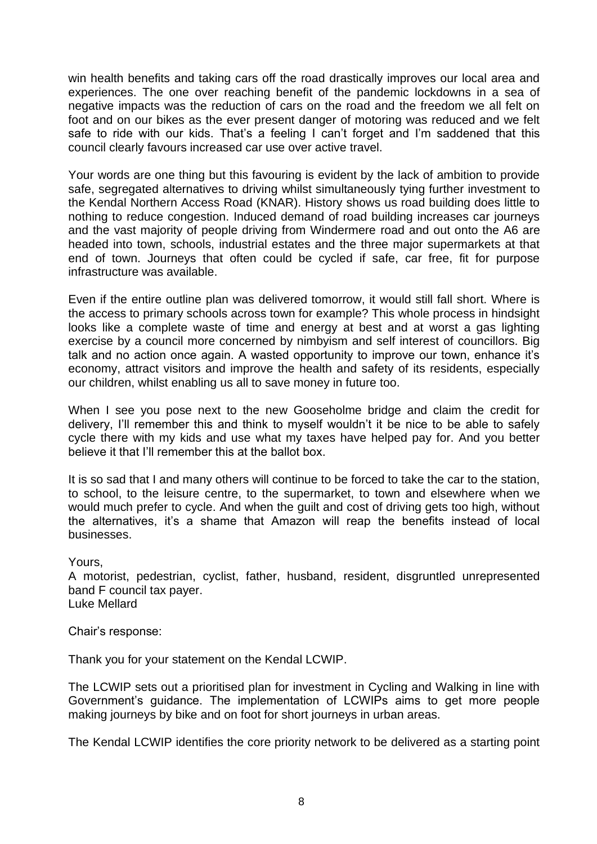win health benefits and taking cars off the road drastically improves our local area and experiences. The one over reaching benefit of the pandemic lockdowns in a sea of negative impacts was the reduction of cars on the road and the freedom we all felt on foot and on our bikes as the ever present danger of motoring was reduced and we felt safe to ride with our kids. That's a feeling I can't forget and I'm saddened that this council clearly favours increased car use over active travel.

Your words are one thing but this favouring is evident by the lack of ambition to provide safe, segregated alternatives to driving whilst simultaneously tying further investment to the Kendal Northern Access Road (KNAR). History shows us road building does little to nothing to reduce congestion. Induced demand of road building increases car journeys and the vast majority of people driving from Windermere road and out onto the A6 are headed into town, schools, industrial estates and the three major supermarkets at that end of town. Journeys that often could be cycled if safe, car free, fit for purpose infrastructure was available.

Even if the entire outline plan was delivered tomorrow, it would still fall short. Where is the access to primary schools across town for example? This whole process in hindsight looks like a complete waste of time and energy at best and at worst a gas lighting exercise by a council more concerned by nimbyism and self interest of councillors. Big talk and no action once again. A wasted opportunity to improve our town, enhance it's economy, attract visitors and improve the health and safety of its residents, especially our children, whilst enabling us all to save money in future too.

When I see you pose next to the new Gooseholme bridge and claim the credit for delivery, I'll remember this and think to myself wouldn't it be nice to be able to safely cycle there with my kids and use what my taxes have helped pay for. And you better believe it that I'll remember this at the ballot box.

It is so sad that I and many others will continue to be forced to take the car to the station, to school, to the leisure centre, to the supermarket, to town and elsewhere when we would much prefer to cycle. And when the guilt and cost of driving gets too high, without the alternatives, it's a shame that Amazon will reap the benefits instead of local businesses.

#### Yours,

A motorist, pedestrian, cyclist, father, husband, resident, disgruntled unrepresented band F council tax payer. Luke Mellard

Chair's response:

Thank you for your statement on the Kendal LCWIP.

The LCWIP sets out a prioritised plan for investment in Cycling and Walking in line with Government's guidance. The implementation of LCWIPs aims to get more people making journeys by bike and on foot for short journeys in urban areas.

The Kendal LCWIP identifies the core priority network to be delivered as a starting point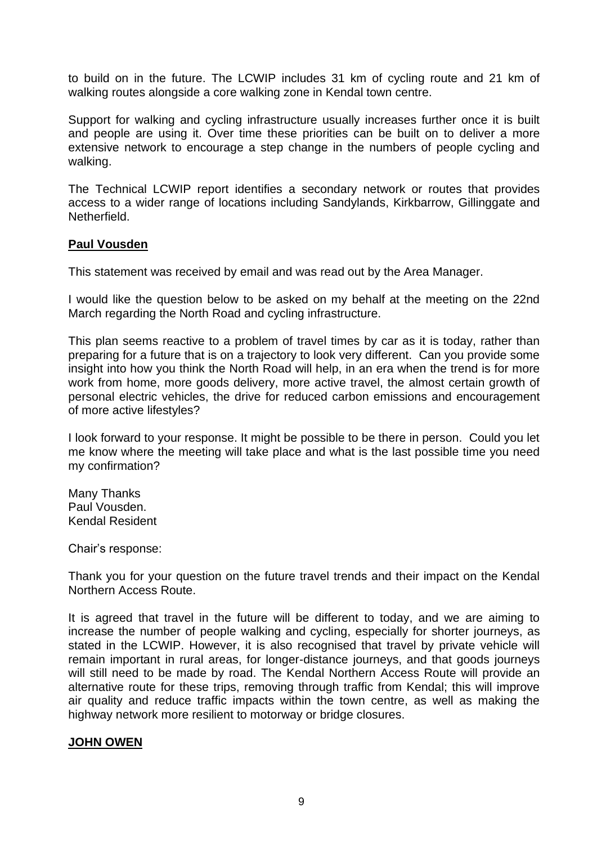to build on in the future. The LCWIP includes 31 km of cycling route and 21 km of walking routes alongside a core walking zone in Kendal town centre.

Support for walking and cycling infrastructure usually increases further once it is built and people are using it. Over time these priorities can be built on to deliver a more extensive network to encourage a step change in the numbers of people cycling and walking.

The Technical LCWIP report identifies a secondary network or routes that provides access to a wider range of locations including Sandylands, Kirkbarrow, Gillinggate and Netherfield.

#### **Paul Vousden**

This statement was received by email and was read out by the Area Manager.

I would like the question below to be asked on my behalf at the meeting on the 22nd March regarding the North Road and cycling infrastructure.

This plan seems reactive to a problem of travel times by car as it is today, rather than preparing for a future that is on a trajectory to look very different. Can you provide some insight into how you think the North Road will help, in an era when the trend is for more work from home, more goods delivery, more active travel, the almost certain growth of personal electric vehicles, the drive for reduced carbon emissions and encouragement of more active lifestyles?

I look forward to your response. It might be possible to be there in person. Could you let me know where the meeting will take place and what is the last possible time you need my confirmation?

Many Thanks Paul Vousden. Kendal Resident

Chair's response:

Thank you for your question on the future travel trends and their impact on the Kendal Northern Access Route.

It is agreed that travel in the future will be different to today, and we are aiming to increase the number of people walking and cycling, especially for shorter journeys, as stated in the LCWIP. However, it is also recognised that travel by private vehicle will remain important in rural areas, for longer-distance journeys, and that goods journeys will still need to be made by road. The Kendal Northern Access Route will provide an alternative route for these trips, removing through traffic from Kendal; this will improve air quality and reduce traffic impacts within the town centre, as well as making the highway network more resilient to motorway or bridge closures.

# **JOHN OWEN**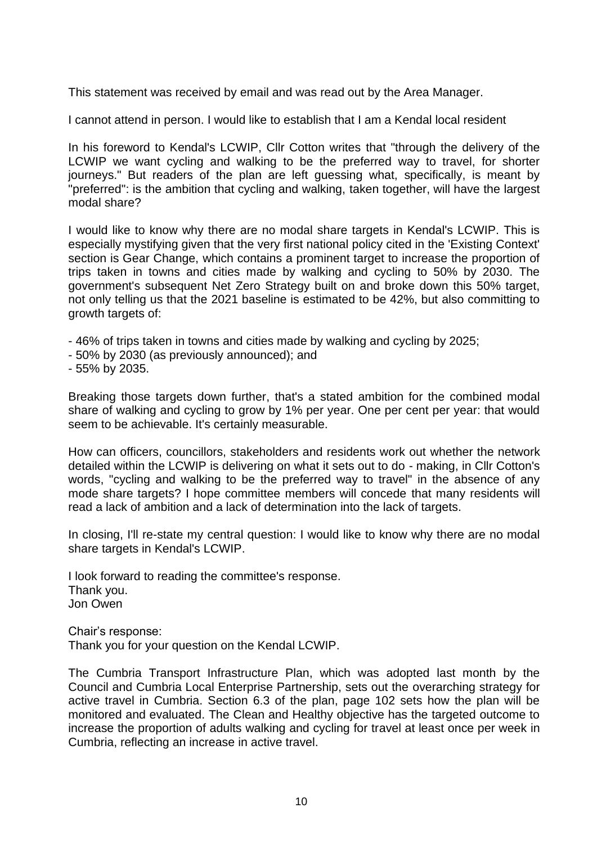This statement was received by email and was read out by the Area Manager.

I cannot attend in person. I would like to establish that I am a Kendal local resident

In his foreword to Kendal's LCWIP, Cllr Cotton writes that "through the delivery of the LCWIP we want cycling and walking to be the preferred way to travel, for shorter journeys." But readers of the plan are left guessing what, specifically, is meant by "preferred": is the ambition that cycling and walking, taken together, will have the largest modal share?

I would like to know why there are no modal share targets in Kendal's LCWIP. This is especially mystifying given that the very first national policy cited in the 'Existing Context' section is Gear Change, which contains a prominent target to increase the proportion of trips taken in towns and cities made by walking and cycling to 50% by 2030. The government's subsequent Net Zero Strategy built on and broke down this 50% target, not only telling us that the 2021 baseline is estimated to be 42%, but also committing to growth targets of:

- 46% of trips taken in towns and cities made by walking and cycling by 2025;
- 50% by 2030 (as previously announced); and
- 55% by 2035.

Breaking those targets down further, that's a stated ambition for the combined modal share of walking and cycling to grow by 1% per year. One per cent per year: that would seem to be achievable. It's certainly measurable.

How can officers, councillors, stakeholders and residents work out whether the network detailed within the LCWIP is delivering on what it sets out to do - making, in Cllr Cotton's words, "cycling and walking to be the preferred way to travel" in the absence of any mode share targets? I hope committee members will concede that many residents will read a lack of ambition and a lack of determination into the lack of targets.

In closing, I'll re-state my central question: I would like to know why there are no modal share targets in Kendal's LCWIP.

I look forward to reading the committee's response. Thank you. Jon Owen

Chair's response: Thank you for your question on the Kendal LCWIP.

The Cumbria Transport Infrastructure Plan, which was adopted last month by the Council and Cumbria Local Enterprise Partnership, sets out the overarching strategy for active travel in Cumbria. Section 6.3 of the plan, page 102 sets how the plan will be monitored and evaluated. The Clean and Healthy objective has the targeted outcome to increase the proportion of adults walking and cycling for travel at least once per week in Cumbria, reflecting an increase in active travel.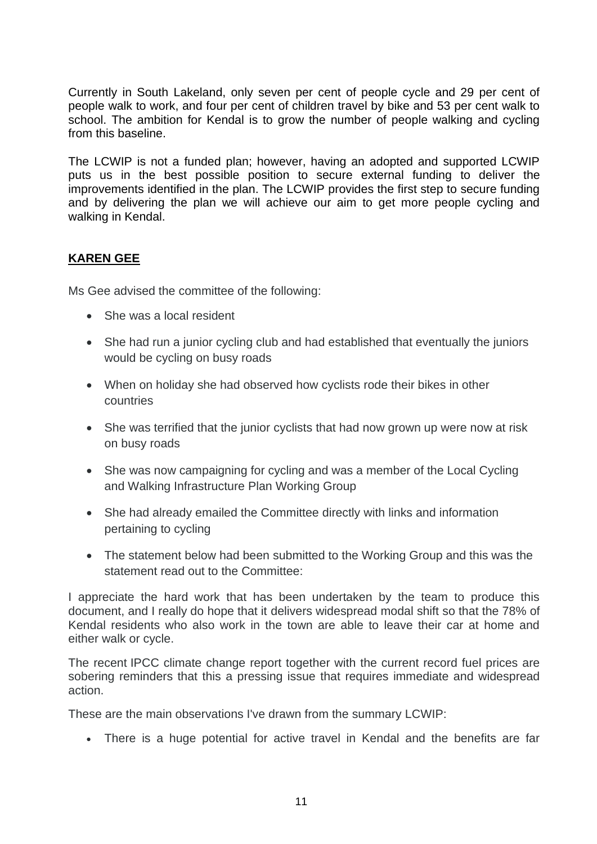Currently in South Lakeland, only seven per cent of people cycle and 29 per cent of people walk to work, and four per cent of children travel by bike and 53 per cent walk to school. The ambition for Kendal is to grow the number of people walking and cycling from this baseline.

The LCWIP is not a funded plan; however, having an adopted and supported LCWIP puts us in the best possible position to secure external funding to deliver the improvements identified in the plan. The LCWIP provides the first step to secure funding and by delivering the plan we will achieve our aim to get more people cycling and walking in Kendal.

# **KAREN GEE**

Ms Gee advised the committee of the following:

- She was a local resident
- She had run a junior cycling club and had established that eventually the juniors would be cycling on busy roads
- When on holiday she had observed how cyclists rode their bikes in other countries
- She was terrified that the junior cyclists that had now grown up were now at risk on busy roads
- She was now campaigning for cycling and was a member of the Local Cycling and Walking Infrastructure Plan Working Group
- She had already emailed the Committee directly with links and information pertaining to cycling
- The statement below had been submitted to the Working Group and this was the statement read out to the Committee:

I appreciate the hard work that has been undertaken by the team to produce this document, and I really do hope that it delivers widespread modal shift so that the 78% of Kendal residents who also work in the town are able to leave their car at home and either walk or cycle.

The recent IPCC climate change report together with the current record fuel prices are sobering reminders that this a pressing issue that requires immediate and widespread action.

These are the main observations I've drawn from the summary LCWIP:

• There is a huge potential for active travel in Kendal and the benefits are far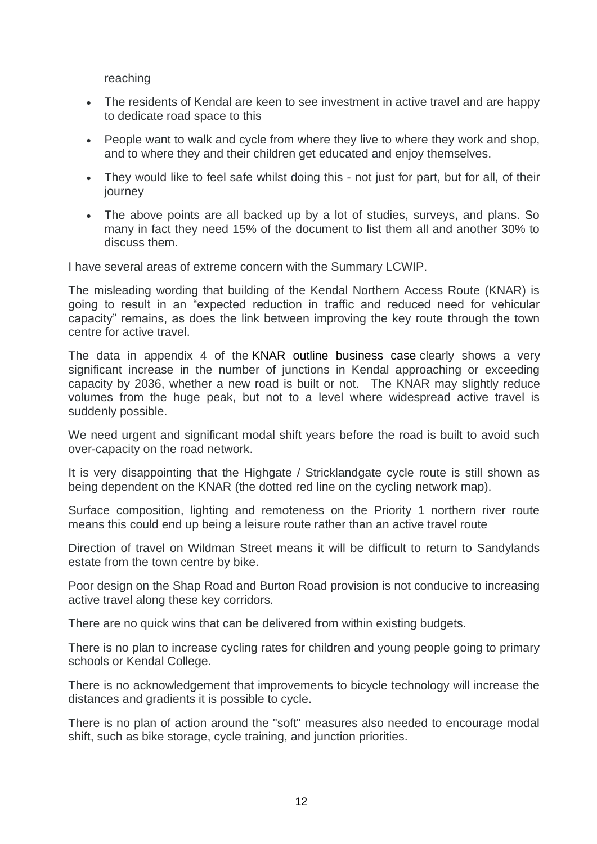reaching

- The residents of Kendal are keen to see investment in active travel and are happy to dedicate road space to this
- People want to walk and cycle from where they live to where they work and shop. and to where they and their children get educated and enjoy themselves.
- They would like to feel safe whilst doing this not just for part, but for all, of their journey
- The above points are all backed up by a lot of studies, surveys, and plans. So many in fact they need 15% of the document to list them all and another 30% to discuss them.

I have several areas of extreme concern with the Summary LCWIP.

The misleading wording that building of the Kendal Northern Access Route (KNAR) is going to result in an "expected reduction in traffic and reduced need for vehicular capacity" remains, as does the link between improving the key route through the town centre for active travel.

The data in appendix 4 of the [KNAR outline business case](https://cumbria.gov.uk/elibrary/Content/Internet/544/17312/43353141847.pdf) clearly shows a very significant increase in the number of junctions in Kendal approaching or exceeding capacity by 2036, whether a new road is built or not. The KNAR may slightly reduce volumes from the huge peak, but not to a level where widespread active travel is suddenly possible.

We need urgent and significant modal shift years before the road is built to avoid such over-capacity on the road network.

It is very disappointing that the Highgate / Stricklandgate cycle route is still shown as being dependent on the KNAR (the dotted red line on the cycling network map).

Surface composition, lighting and remoteness on the Priority 1 northern river route means this could end up being a leisure route rather than an active travel route

Direction of travel on Wildman Street means it will be difficult to return to Sandylands estate from the town centre by bike.

Poor design on the Shap Road and Burton Road provision is not conducive to increasing active travel along these key corridors.

There are no quick wins that can be delivered from within existing budgets.

There is no plan to increase cycling rates for children and young people going to primary schools or Kendal College.

There is no acknowledgement that improvements to bicycle technology will increase the distances and gradients it is possible to cycle.

There is no plan of action around the "soft" measures also needed to encourage modal shift, such as bike storage, cycle training, and junction priorities.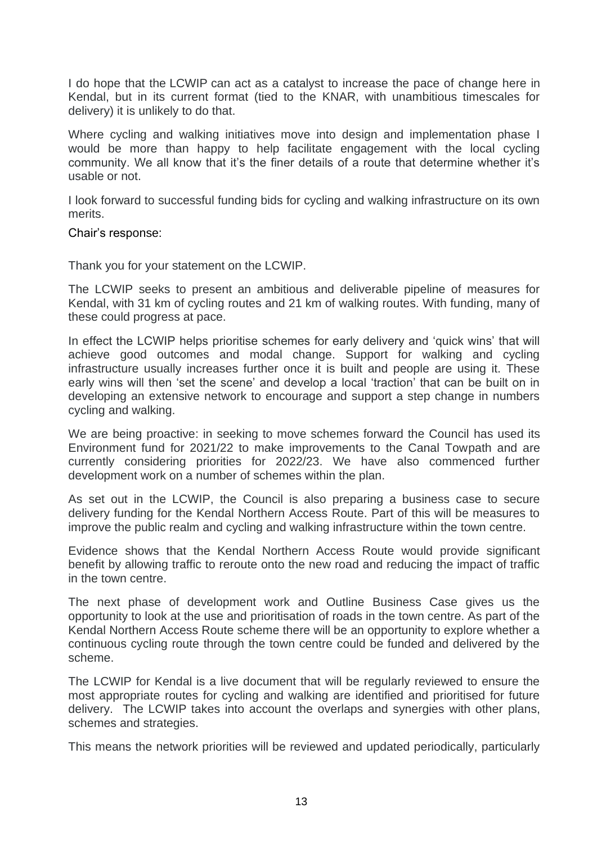I do hope that the LCWIP can act as a catalyst to increase the pace of change here in Kendal, but in its current format (tied to the KNAR, with unambitious timescales for delivery) it is unlikely to do that.

Where cycling and walking initiatives move into design and implementation phase I would be more than happy to help facilitate engagement with the local cycling community. We all know that it's the finer details of a route that determine whether it's usable or not.

I look forward to successful funding bids for cycling and walking infrastructure on its own merits.

#### Chair's response:

Thank you for your statement on the LCWIP.

The LCWIP seeks to present an ambitious and deliverable pipeline of measures for Kendal, with 31 km of cycling routes and 21 km of walking routes. With funding, many of these could progress at pace.

In effect the LCWIP helps prioritise schemes for early delivery and 'quick wins' that will achieve good outcomes and modal change. Support for walking and cycling infrastructure usually increases further once it is built and people are using it. These early wins will then 'set the scene' and develop a local 'traction' that can be built on in developing an extensive network to encourage and support a step change in numbers cycling and walking.

We are being proactive: in seeking to move schemes forward the Council has used its Environment fund for 2021/22 to make improvements to the Canal Towpath and are currently considering priorities for 2022/23. We have also commenced further development work on a number of schemes within the plan.

As set out in the LCWIP, the Council is also preparing a business case to secure delivery funding for the Kendal Northern Access Route. Part of this will be measures to improve the public realm and cycling and walking infrastructure within the town centre.

Evidence shows that the Kendal Northern Access Route would provide significant benefit by allowing traffic to reroute onto the new road and reducing the impact of traffic in the town centre.

The next phase of development work and Outline Business Case gives us the opportunity to look at the use and prioritisation of roads in the town centre. As part of the Kendal Northern Access Route scheme there will be an opportunity to explore whether a continuous cycling route through the town centre could be funded and delivered by the scheme.

The LCWIP for Kendal is a live document that will be regularly reviewed to ensure the most appropriate routes for cycling and walking are identified and prioritised for future delivery. The LCWIP takes into account the overlaps and synergies with other plans, schemes and strategies.

This means the network priorities will be reviewed and updated periodically, particularly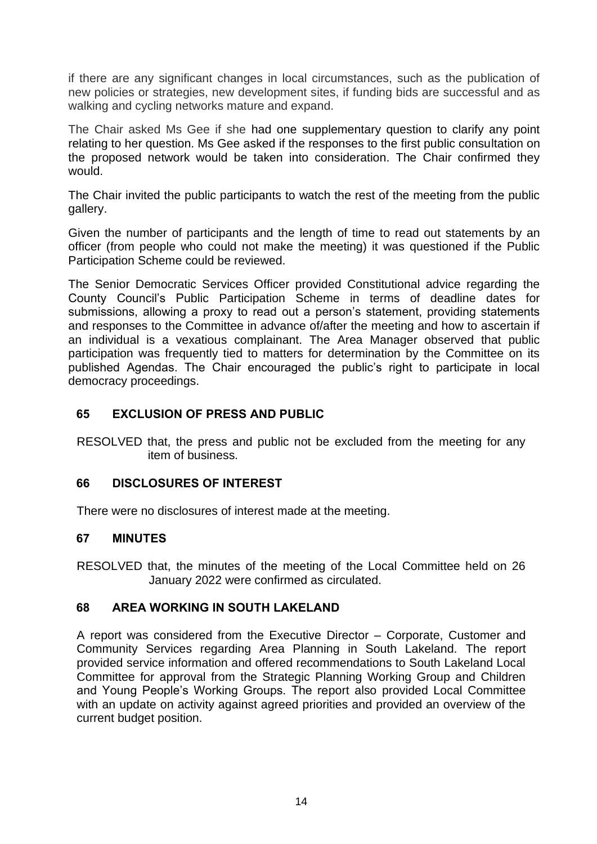if there are any significant changes in local circumstances, such as the publication of new policies or strategies, new development sites, if funding bids are successful and as walking and cycling networks mature and expand.

The Chair asked Ms Gee if she had one supplementary question to clarify any point relating to her question. Ms Gee asked if the responses to the first public consultation on the proposed network would be taken into consideration. The Chair confirmed they would.

The Chair invited the public participants to watch the rest of the meeting from the public gallery.

Given the number of participants and the length of time to read out statements by an officer (from people who could not make the meeting) it was questioned if the Public Participation Scheme could be reviewed.

The Senior Democratic Services Officer provided Constitutional advice regarding the County Council's Public Participation Scheme in terms of deadline dates for submissions, allowing a proxy to read out a person's statement, providing statements and responses to the Committee in advance of/after the meeting and how to ascertain if an individual is a vexatious complainant. The Area Manager observed that public participation was frequently tied to matters for determination by the Committee on its published Agendas. The Chair encouraged the public's right to participate in local democracy proceedings.

# **65 EXCLUSION OF PRESS AND PUBLIC**

RESOLVED that, the press and public not be excluded from the meeting for any item of business.

# **66 DISCLOSURES OF INTEREST**

There were no disclosures of interest made at the meeting.

# **67 MINUTES**

RESOLVED that, the minutes of the meeting of the Local Committee held on 26 January 2022 were confirmed as circulated.

# **68 AREA WORKING IN SOUTH LAKELAND**

A report was considered from the Executive Director – Corporate, Customer and Community Services regarding Area Planning in South Lakeland. The report provided service information and offered recommendations to South Lakeland Local Committee for approval from the Strategic Planning Working Group and Children and Young People's Working Groups. The report also provided Local Committee with an update on activity against agreed priorities and provided an overview of the current budget position.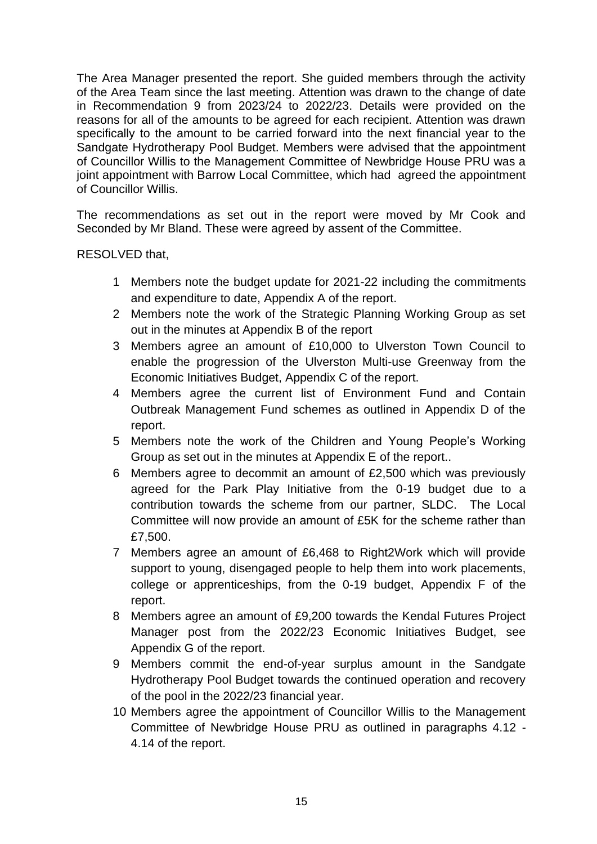The Area Manager presented the report. She guided members through the activity of the Area Team since the last meeting. Attention was drawn to the change of date in Recommendation 9 from 2023/24 to 2022/23. Details were provided on the reasons for all of the amounts to be agreed for each recipient. Attention was drawn specifically to the amount to be carried forward into the next financial year to the Sandgate Hydrotherapy Pool Budget. Members were advised that the appointment of Councillor Willis to the Management Committee of Newbridge House PRU was a joint appointment with Barrow Local Committee, which had agreed the appointment of Councillor Willis.

The recommendations as set out in the report were moved by Mr Cook and Seconded by Mr Bland. These were agreed by assent of the Committee.

RESOLVED that,

- 1 Members note the budget update for 2021-22 including the commitments and expenditure to date, Appendix A of the report.
- 2 Members note the work of the Strategic Planning Working Group as set out in the minutes at Appendix B of the report
- 3 Members agree an amount of £10,000 to Ulverston Town Council to enable the progression of the Ulverston Multi-use Greenway from the Economic Initiatives Budget, Appendix C of the report.
- 4 Members agree the current list of Environment Fund and Contain Outbreak Management Fund schemes as outlined in Appendix D of the report.
- 5 Members note the work of the Children and Young People's Working Group as set out in the minutes at Appendix E of the report..
- 6 Members agree to decommit an amount of £2,500 which was previously agreed for the Park Play Initiative from the 0-19 budget due to a contribution towards the scheme from our partner, SLDC. The Local Committee will now provide an amount of £5K for the scheme rather than £7,500.
- 7 Members agree an amount of £6,468 to Right2Work which will provide support to young, disengaged people to help them into work placements, college or apprenticeships, from the 0-19 budget, Appendix F of the report.
- 8 Members agree an amount of £9,200 towards the Kendal Futures Project Manager post from the 2022/23 Economic Initiatives Budget, see Appendix G of the report.
- 9 Members commit the end-of-year surplus amount in the Sandgate Hydrotherapy Pool Budget towards the continued operation and recovery of the pool in the 2022/23 financial year.
- 10 Members agree the appointment of Councillor Willis to the Management Committee of Newbridge House PRU as outlined in paragraphs 4.12 - 4.14 of the report.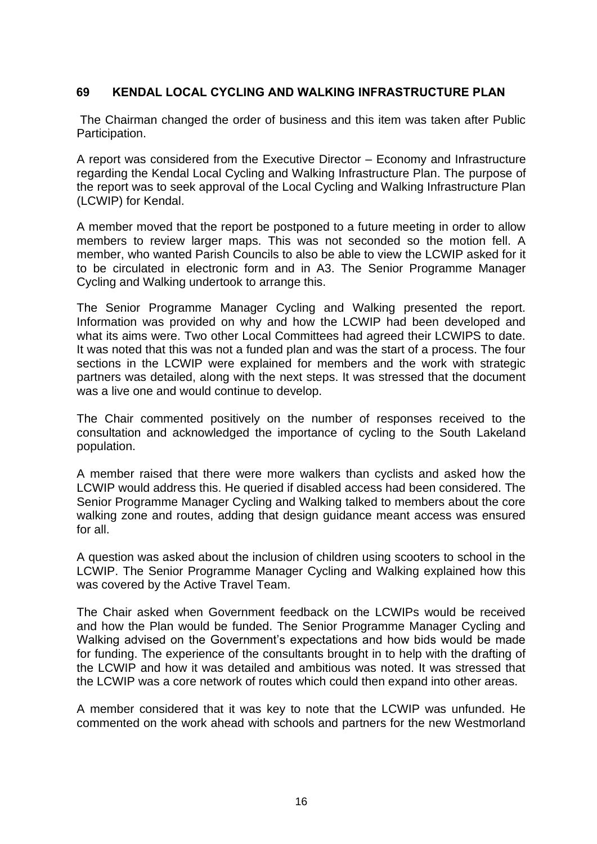# **69 KENDAL LOCAL CYCLING AND WALKING INFRASTRUCTURE PLAN**

The Chairman changed the order of business and this item was taken after Public Participation.

A report was considered from the Executive Director – Economy and Infrastructure regarding the Kendal Local Cycling and Walking Infrastructure Plan. The purpose of the report was to seek approval of the Local Cycling and Walking Infrastructure Plan (LCWIP) for Kendal.

A member moved that the report be postponed to a future meeting in order to allow members to review larger maps. This was not seconded so the motion fell. A member, who wanted Parish Councils to also be able to view the LCWIP asked for it to be circulated in electronic form and in A3. The Senior Programme Manager Cycling and Walking undertook to arrange this.

The Senior Programme Manager Cycling and Walking presented the report. Information was provided on why and how the LCWIP had been developed and what its aims were. Two other Local Committees had agreed their LCWIPS to date. It was noted that this was not a funded plan and was the start of a process. The four sections in the LCWIP were explained for members and the work with strategic partners was detailed, along with the next steps. It was stressed that the document was a live one and would continue to develop.

The Chair commented positively on the number of responses received to the consultation and acknowledged the importance of cycling to the South Lakeland population.

A member raised that there were more walkers than cyclists and asked how the LCWIP would address this. He queried if disabled access had been considered. The Senior Programme Manager Cycling and Walking talked to members about the core walking zone and routes, adding that design guidance meant access was ensured for all.

A question was asked about the inclusion of children using scooters to school in the LCWIP. The Senior Programme Manager Cycling and Walking explained how this was covered by the Active Travel Team.

The Chair asked when Government feedback on the LCWIPs would be received and how the Plan would be funded. The Senior Programme Manager Cycling and Walking advised on the Government's expectations and how bids would be made for funding. The experience of the consultants brought in to help with the drafting of the LCWIP and how it was detailed and ambitious was noted. It was stressed that the LCWIP was a core network of routes which could then expand into other areas.

A member considered that it was key to note that the LCWIP was unfunded. He commented on the work ahead with schools and partners for the new Westmorland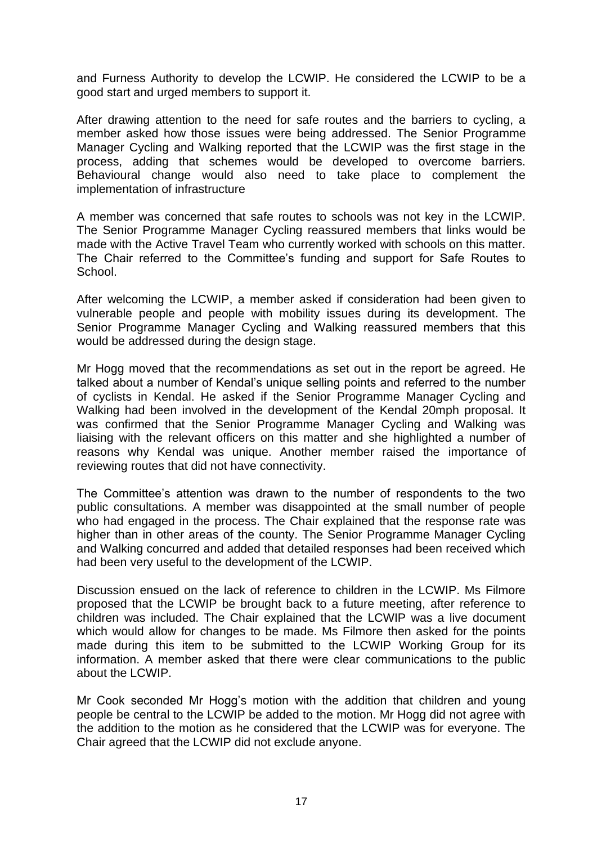and Furness Authority to develop the LCWIP. He considered the LCWIP to be a good start and urged members to support it.

After drawing attention to the need for safe routes and the barriers to cycling, a member asked how those issues were being addressed. The Senior Programme Manager Cycling and Walking reported that the LCWIP was the first stage in the process, adding that schemes would be developed to overcome barriers. Behavioural change would also need to take place to complement the implementation of infrastructure

A member was concerned that safe routes to schools was not key in the LCWIP. The Senior Programme Manager Cycling reassured members that links would be made with the Active Travel Team who currently worked with schools on this matter. The Chair referred to the Committee's funding and support for Safe Routes to School.

After welcoming the LCWIP, a member asked if consideration had been given to vulnerable people and people with mobility issues during its development. The Senior Programme Manager Cycling and Walking reassured members that this would be addressed during the design stage.

Mr Hogg moved that the recommendations as set out in the report be agreed. He talked about a number of Kendal's unique selling points and referred to the number of cyclists in Kendal. He asked if the Senior Programme Manager Cycling and Walking had been involved in the development of the Kendal 20mph proposal. It was confirmed that the Senior Programme Manager Cycling and Walking was liaising with the relevant officers on this matter and she highlighted a number of reasons why Kendal was unique. Another member raised the importance of reviewing routes that did not have connectivity.

The Committee's attention was drawn to the number of respondents to the two public consultations. A member was disappointed at the small number of people who had engaged in the process. The Chair explained that the response rate was higher than in other areas of the county. The Senior Programme Manager Cycling and Walking concurred and added that detailed responses had been received which had been very useful to the development of the LCWIP.

Discussion ensued on the lack of reference to children in the LCWIP. Ms Filmore proposed that the LCWIP be brought back to a future meeting, after reference to children was included. The Chair explained that the LCWIP was a live document which would allow for changes to be made. Ms Filmore then asked for the points made during this item to be submitted to the LCWIP Working Group for its information. A member asked that there were clear communications to the public about the LCWIP.

Mr Cook seconded Mr Hogg's motion with the addition that children and young people be central to the LCWIP be added to the motion. Mr Hogg did not agree with the addition to the motion as he considered that the LCWIP was for everyone. The Chair agreed that the LCWIP did not exclude anyone.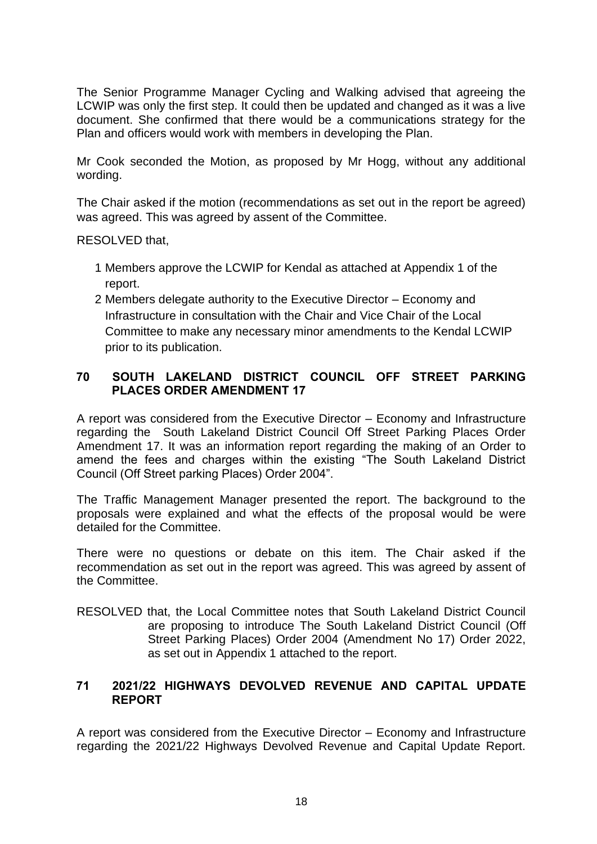The Senior Programme Manager Cycling and Walking advised that agreeing the LCWIP was only the first step. It could then be updated and changed as it was a live document. She confirmed that there would be a communications strategy for the Plan and officers would work with members in developing the Plan.

Mr Cook seconded the Motion, as proposed by Mr Hogg, without any additional wording.

The Chair asked if the motion (recommendations as set out in the report be agreed) was agreed. This was agreed by assent of the Committee.

RESOLVED that,

- 1 Members approve the LCWIP for Kendal as attached at Appendix 1 of the report.
- 2 Members delegate authority to the Executive Director Economy and Infrastructure in consultation with the Chair and Vice Chair of the Local Committee to make any necessary minor amendments to the Kendal LCWIP prior to its publication.

# **70 SOUTH LAKELAND DISTRICT COUNCIL OFF STREET PARKING PLACES ORDER AMENDMENT 17**

A report was considered from the Executive Director – Economy and Infrastructure regarding the South Lakeland District Council Off Street Parking Places Order Amendment 17. It was an information report regarding the making of an Order to amend the fees and charges within the existing "The South Lakeland District Council (Off Street parking Places) Order 2004".

The Traffic Management Manager presented the report. The background to the proposals were explained and what the effects of the proposal would be were detailed for the Committee.

There were no questions or debate on this item. The Chair asked if the recommendation as set out in the report was agreed. This was agreed by assent of the Committee.

RESOLVED that, the Local Committee notes that South Lakeland District Council are proposing to introduce The South Lakeland District Council (Off Street Parking Places) Order 2004 (Amendment No 17) Order 2022, as set out in Appendix 1 attached to the report.

# **71 2021/22 HIGHWAYS DEVOLVED REVENUE AND CAPITAL UPDATE REPORT**

A report was considered from the Executive Director – Economy and Infrastructure regarding the 2021/22 Highways Devolved Revenue and Capital Update Report.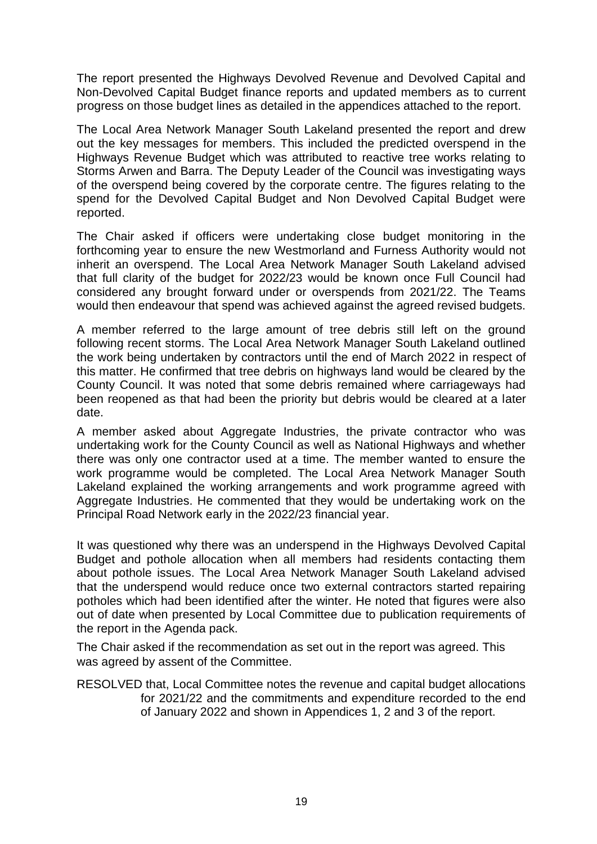The report presented the Highways Devolved Revenue and Devolved Capital and Non-Devolved Capital Budget finance reports and updated members as to current progress on those budget lines as detailed in the appendices attached to the report.

The Local Area Network Manager South Lakeland presented the report and drew out the key messages for members. This included the predicted overspend in the Highways Revenue Budget which was attributed to reactive tree works relating to Storms Arwen and Barra. The Deputy Leader of the Council was investigating ways of the overspend being covered by the corporate centre. The figures relating to the spend for the Devolved Capital Budget and Non Devolved Capital Budget were reported.

The Chair asked if officers were undertaking close budget monitoring in the forthcoming year to ensure the new Westmorland and Furness Authority would not inherit an overspend. The Local Area Network Manager South Lakeland advised that full clarity of the budget for 2022/23 would be known once Full Council had considered any brought forward under or overspends from 2021/22. The Teams would then endeavour that spend was achieved against the agreed revised budgets.

A member referred to the large amount of tree debris still left on the ground following recent storms. The Local Area Network Manager South Lakeland outlined the work being undertaken by contractors until the end of March 2022 in respect of this matter. He confirmed that tree debris on highways land would be cleared by the County Council. It was noted that some debris remained where carriageways had been reopened as that had been the priority but debris would be cleared at a later date.

A member asked about Aggregate Industries, the private contractor who was undertaking work for the County Council as well as National Highways and whether there was only one contractor used at a time. The member wanted to ensure the work programme would be completed. The Local Area Network Manager South Lakeland explained the working arrangements and work programme agreed with Aggregate Industries. He commented that they would be undertaking work on the Principal Road Network early in the 2022/23 financial year.

It was questioned why there was an underspend in the Highways Devolved Capital Budget and pothole allocation when all members had residents contacting them about pothole issues. The Local Area Network Manager South Lakeland advised that the underspend would reduce once two external contractors started repairing potholes which had been identified after the winter. He noted that figures were also out of date when presented by Local Committee due to publication requirements of the report in the Agenda pack.

The Chair asked if the recommendation as set out in the report was agreed. This was agreed by assent of the Committee.

RESOLVED that, Local Committee notes the revenue and capital budget allocations for 2021/22 and the commitments and expenditure recorded to the end of January 2022 and shown in Appendices 1, 2 and 3 of the report.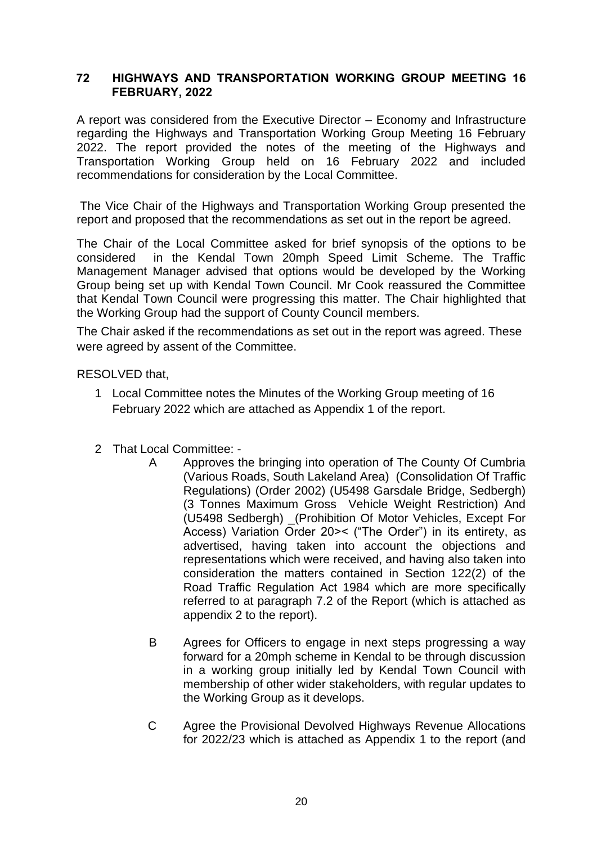# **72 HIGHWAYS AND TRANSPORTATION WORKING GROUP MEETING 16 FEBRUARY, 2022**

A report was considered from the Executive Director – Economy and Infrastructure regarding the Highways and Transportation Working Group Meeting 16 February 2022. The report provided the notes of the meeting of the Highways and Transportation Working Group held on 16 February 2022 and included recommendations for consideration by the Local Committee.

The Vice Chair of the Highways and Transportation Working Group presented the report and proposed that the recommendations as set out in the report be agreed.

The Chair of the Local Committee asked for brief synopsis of the options to be considered in the Kendal Town 20mph Speed Limit Scheme. The Traffic Management Manager advised that options would be developed by the Working Group being set up with Kendal Town Council. Mr Cook reassured the Committee that Kendal Town Council were progressing this matter. The Chair highlighted that the Working Group had the support of County Council members.

The Chair asked if the recommendations as set out in the report was agreed. These were agreed by assent of the Committee.

RESOLVED that,

- 1 Local Committee notes the Minutes of the Working Group meeting of 16 February 2022 which are attached as Appendix 1 of the report.
- 2 That Local Committee:
	- A Approves the bringing into operation of The County Of Cumbria (Various Roads, South Lakeland Area) (Consolidation Of Traffic Regulations) (Order 2002) (U5498 Garsdale Bridge, Sedbergh) (3 Tonnes Maximum Gross Vehicle Weight Restriction) And (U5498 Sedbergh) \_(Prohibition Of Motor Vehicles, Except For Access) Variation Order 20>< ("The Order") in its entirety, as advertised, having taken into account the objections and representations which were received, and having also taken into consideration the matters contained in Section 122(2) of the Road Traffic Regulation Act 1984 which are more specifically referred to at paragraph 7.2 of the Report (which is attached as appendix 2 to the report).
	- B Agrees for Officers to engage in next steps progressing a way forward for a 20mph scheme in Kendal to be through discussion in a working group initially led by Kendal Town Council with membership of other wider stakeholders, with regular updates to the Working Group as it develops.
	- C Agree the Provisional Devolved Highways Revenue Allocations for 2022/23 which is attached as Appendix 1 to the report (and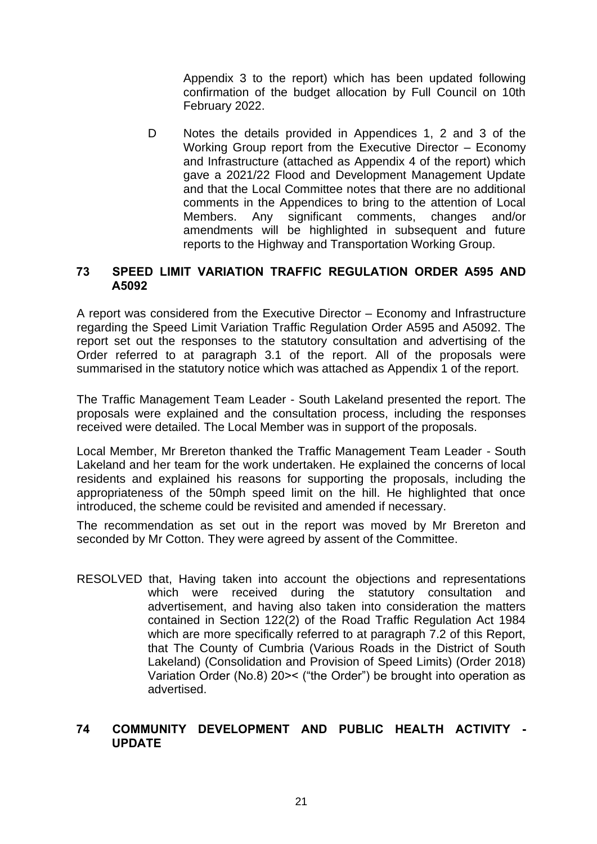Appendix 3 to the report) which has been updated following confirmation of the budget allocation by Full Council on 10th February 2022.

D Notes the details provided in Appendices 1, 2 and 3 of the Working Group report from the Executive Director – Economy and Infrastructure (attached as Appendix 4 of the report) which gave a 2021/22 Flood and Development Management Update and that the Local Committee notes that there are no additional comments in the Appendices to bring to the attention of Local Members. Any significant comments, changes and/or amendments will be highlighted in subsequent and future reports to the Highway and Transportation Working Group.

# **73 SPEED LIMIT VARIATION TRAFFIC REGULATION ORDER A595 AND A5092**

A report was considered from the Executive Director – Economy and Infrastructure regarding the Speed Limit Variation Traffic Regulation Order A595 and A5092. The report set out the responses to the statutory consultation and advertising of the Order referred to at paragraph 3.1 of the report. All of the proposals were summarised in the statutory notice which was attached as Appendix 1 of the report.

The Traffic Management Team Leader - South Lakeland presented the report. The proposals were explained and the consultation process, including the responses received were detailed. The Local Member was in support of the proposals.

Local Member, Mr Brereton thanked the Traffic Management Team Leader - South Lakeland and her team for the work undertaken. He explained the concerns of local residents and explained his reasons for supporting the proposals, including the appropriateness of the 50mph speed limit on the hill. He highlighted that once introduced, the scheme could be revisited and amended if necessary.

The recommendation as set out in the report was moved by Mr Brereton and seconded by Mr Cotton. They were agreed by assent of the Committee.

RESOLVED that, Having taken into account the objections and representations which were received during the statutory consultation and advertisement, and having also taken into consideration the matters contained in Section 122(2) of the Road Traffic Regulation Act 1984 which are more specifically referred to at paragraph 7.2 of this Report, that The County of Cumbria (Various Roads in the District of South Lakeland) (Consolidation and Provision of Speed Limits) (Order 2018) Variation Order (No.8) 20>< ("the Order") be brought into operation as advertised.

# **74 COMMUNITY DEVELOPMENT AND PUBLIC HEALTH ACTIVITY - UPDATE**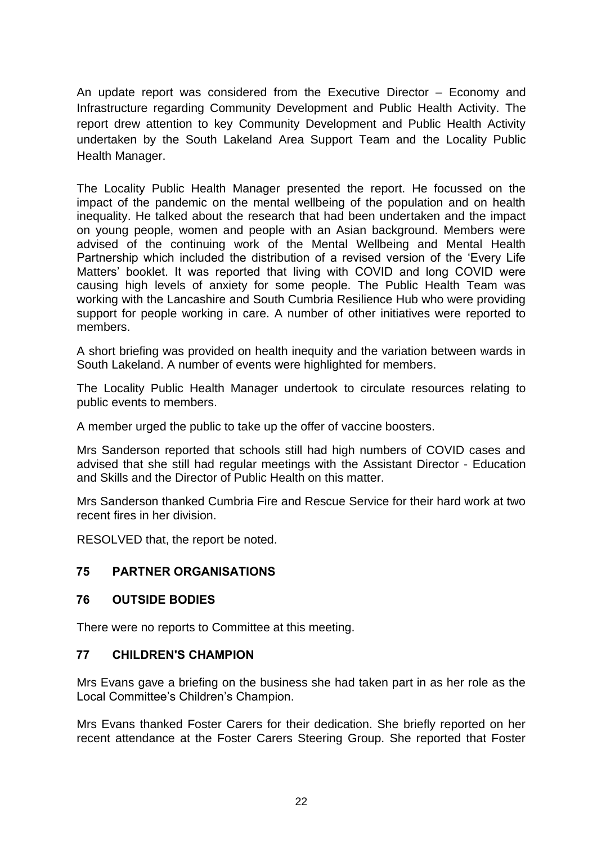An update report was considered from the Executive Director – Economy and Infrastructure regarding Community Development and Public Health Activity. The report drew attention to key Community Development and Public Health Activity undertaken by the South Lakeland Area Support Team and the Locality Public Health Manager.

The Locality Public Health Manager presented the report. He focussed on the impact of the pandemic on the mental wellbeing of the population and on health inequality. He talked about the research that had been undertaken and the impact on young people, women and people with an Asian background. Members were advised of the continuing work of the Mental Wellbeing and Mental Health Partnership which included the distribution of a revised version of the 'Every Life Matters' booklet. It was reported that living with COVID and long COVID were causing high levels of anxiety for some people. The Public Health Team was working with the Lancashire and South Cumbria Resilience Hub who were providing support for people working in care. A number of other initiatives were reported to members.

A short briefing was provided on health inequity and the variation between wards in South Lakeland. A number of events were highlighted for members.

The Locality Public Health Manager undertook to circulate resources relating to public events to members.

A member urged the public to take up the offer of vaccine boosters.

Mrs Sanderson reported that schools still had high numbers of COVID cases and advised that she still had regular meetings with the Assistant Director - Education and Skills and the Director of Public Health on this matter.

Mrs Sanderson thanked Cumbria Fire and Rescue Service for their hard work at two recent fires in her division.

RESOLVED that, the report be noted.

# **75 PARTNER ORGANISATIONS**

#### **76 OUTSIDE BODIES**

There were no reports to Committee at this meeting.

# **77 CHILDREN'S CHAMPION**

Mrs Evans gave a briefing on the business she had taken part in as her role as the Local Committee's Children's Champion.

Mrs Evans thanked Foster Carers for their dedication. She briefly reported on her recent attendance at the Foster Carers Steering Group. She reported that Foster